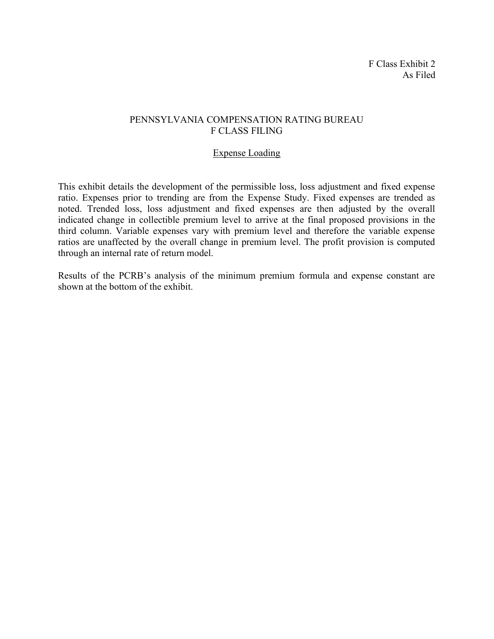## PENNSYLVANIA COMPENSATION RATING BUREAU F CLASS FILING

# Expense Loading

This exhibit details the development of the permissible loss, loss adjustment and fixed expense ratio. Expenses prior to trending are from the Expense Study. Fixed expenses are trended as noted. Trended loss, loss adjustment and fixed expenses are then adjusted by the overall indicated change in collectible premium level to arrive at the final proposed provisions in the third column. Variable expenses vary with premium level and therefore the variable expense ratios are unaffected by the overall change in premium level. The profit provision is computed through an internal rate of return model.

Results of the PCRB's analysis of the minimum premium formula and expense constant are shown at the bottom of the exhibit.